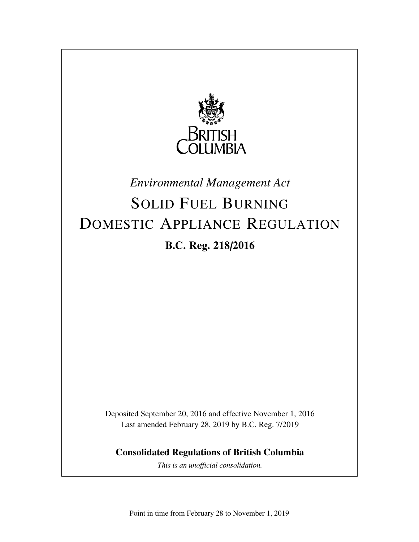

## *Environmental Management Act*

# SOLID FUEL BURNING DOMESTIC APPLIANCE REGULATION **B.C. Reg. 218/2016**

Deposited September 20, 2016 and effective November 1, 2016 Last amended February 28, 2019 by B.C. Reg. 7/2019

**Consolidated Regulations of British Columbia**

*This is an unofficial consolidation.*

Point in time from February 28 to November 1, 2019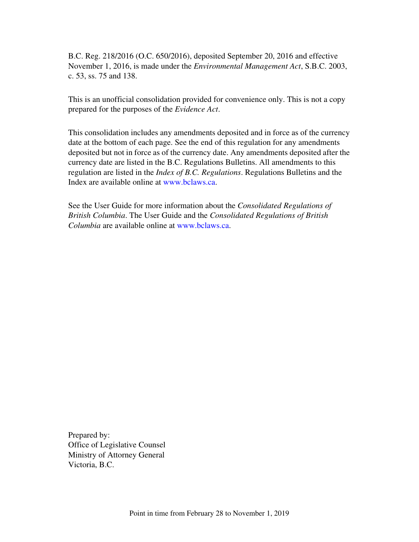B.C. Reg. 218/2016 (O.C. 650/2016), deposited September 20, 2016 and effective November 1, 2016, is made under the *Environmental Management Act*, S.B.C. 2003, c. 53, ss. 75 and 138.

This is an unofficial consolidation provided for convenience only. This is not a copy prepared for the purposes of the *Evidence Act*.

This consolidation includes any amendments deposited and in force as of the currency date at the bottom of each page. See the end of this regulation for any amendments deposited but not in force as of the currency date. Any amendments deposited after the currency date are listed in the B.C. Regulations Bulletins. All amendments to this regulation are listed in the *Index of B.C. Regulations*. Regulations Bulletins and the Index are available online at www.bclaws.ca.

See the User Guide for more information about the *Consolidated Regulations of British Columbia*. The User Guide and the *Consolidated Regulations of British Columbia* are available online at www.bclaws.ca.

Prepared by: Office of Legislative Counsel Ministry of Attorney General Victoria, B.C.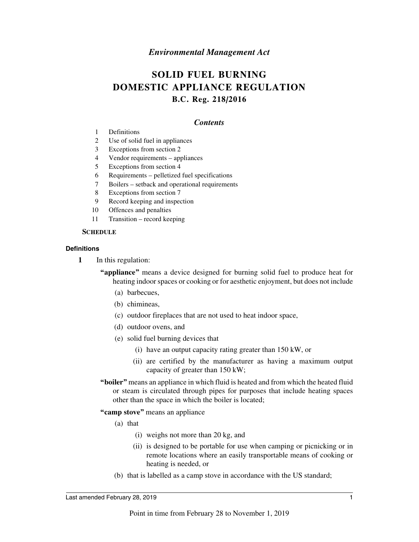#### *Environmental Management Act*

### **SOLID FUEL BURNING DOMESTIC APPLIANCE REGULATION B.C. Reg. 218/2016**

#### *Contents*

- 1 Definitions
- 2 Use of solid fuel in appliances
- 3 Exceptions from section 2
- 4 Vendor requirements appliances
- 5 Exceptions from section 4
- 6 Requirements pelletized fuel specifications
- 7 Boilers setback and operational requirements
- 8 Exceptions from section 7
- 9 Record keeping and inspection
- 10 Offences and penalties
- 11 Transition record keeping

#### **SCHEDULE**

#### **Definitions**

**1** In this regulation:

**"appliance"** means a device designed for burning solid fuel to produce heat for heating indoor spaces or cooking or for aesthetic enjoyment, but does not include

- (a) barbecues,
- (b) chimineas,
- (c) outdoor fireplaces that are not used to heat indoor space,
- (d) outdoor ovens, and
- (e) solid fuel burning devices that
	- (i) have an output capacity rating greater than 150 kW, or
	- (ii) are certified by the manufacturer as having a maximum output capacity of greater than 150 kW;
- **"boiler"** means an appliance in which fluid is heated and from which the heated fluid or steam is circulated through pipes for purposes that include heating spaces other than the space in which the boiler is located;

#### **"camp stove"** means an appliance

- (a) that
	- (i) weighs not more than 20 kg, and
	- (ii) is designed to be portable for use when camping or picnicking or in remote locations where an easily transportable means of cooking or heating is needed, or
- (b) that is labelled as a camp stove in accordance with the US standard;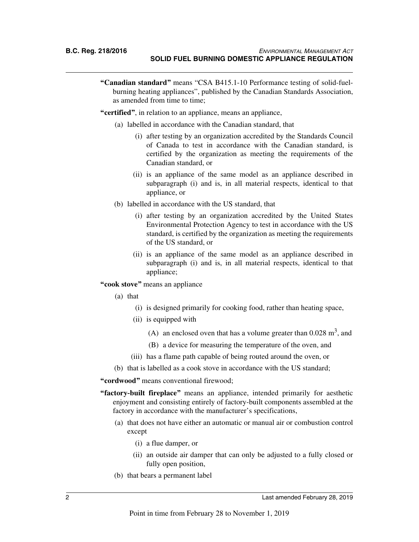**"Canadian standard"** means "CSA B415.1-10 Performance testing of solid-fuelburning heating appliances", published by the Canadian Standards Association, as amended from time to time;

**"certified"**, in relation to an appliance, means an appliance,

- (a) labelled in accordance with the Canadian standard, that
	- (i) after testing by an organization accredited by the Standards Council of Canada to test in accordance with the Canadian standard, is certified by the organization as meeting the requirements of the Canadian standard, or
	- (ii) is an appliance of the same model as an appliance described in subparagraph (i) and is, in all material respects, identical to that appliance, or
- (b) labelled in accordance with the US standard, that
	- (i) after testing by an organization accredited by the United States Environmental Protection Agency to test in accordance with the US standard, is certified by the organization as meeting the requirements of the US standard, or
	- (ii) is an appliance of the same model as an appliance described in subparagraph (i) and is, in all material respects, identical to that appliance;

**"cook stove"** means an appliance

- (a) that
	- (i) is designed primarily for cooking food, rather than heating space,
	- (ii) is equipped with
		- (A) an enclosed oven that has a volume greater than  $0.028 \text{ m}^3$ , and
		- (B) a device for measuring the temperature of the oven, and
	- (iii) has a flame path capable of being routed around the oven, or
- (b) that is labelled as a cook stove in accordance with the US standard;

**"cordwood"** means conventional firewood;

- **"factory-built fireplace"** means an appliance, intended primarily for aesthetic enjoyment and consisting entirely of factory-built components assembled at the factory in accordance with the manufacturer's specifications,
	- (a) that does not have either an automatic or manual air or combustion control except
		- (i) a flue damper, or
		- (ii) an outside air damper that can only be adjusted to a fully closed or fully open position,
	- (b) that bears a permanent label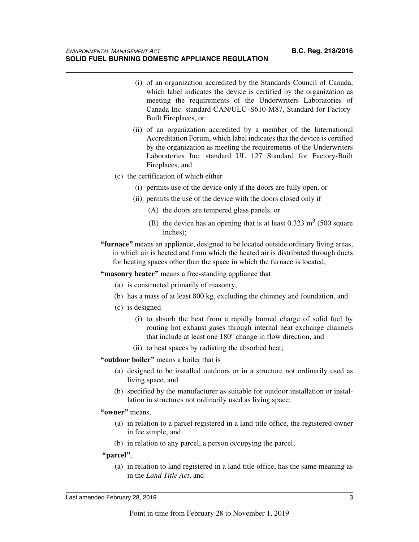- (i) of an organization accredited by the Standards Council of Canada, which label indicates the device is certified by the organization as meeting the requirements of the Underwriters Laboratories of Canada Inc. standard CAN/ULC–S610-M87, Standard for Factory-Built Fireplaces, or
- (ii) of an organization accredited by a member of the International Accreditation Forum, which label indicates that the device is certified by the organization as meeting the requirements of the Underwriters Laboratories Inc. standard UL 127 Standard for Factory-Built Fireplaces, and
- (c) the certification of which either
	- (i) permits use of the device only if the doors are fully open, or
	- (ii) permits the use of the device with the doors closed only if
		- (A) the doors are tempered glass panels, or
		- (B) the device has an opening that is at least  $0.323 \text{ m}^3$  (500 square inches);
- **"furnace"** means an appliance, designed to be located outside ordinary living areas, in which air is heated and from which the heated air is distributed through ducts for heating spaces other than the space in which the furnace is located;

**"masonry heater"** means a free-standing appliance that

- (a) is constructed primarily of masonry,
- (b) has a mass of at least 800 kg, excluding the chimney and foundation, and
- (c) is designed
	- (i) to absorb the heat from a rapidly burned charge of solid fuel by routing hot exhaust gases through internal heat exchange channels that include at least one 180° change in flow direction, and
	- (ii) to heat spaces by radiating the absorbed heat;

#### **"outdoor boiler"** means a boiler that is

- (a) designed to be installed outdoors or in a structure not ordinarily used as living space, and
- (b) specified by the manufacturer as suitable for outdoor installation or installation in structures not ordinarily used as living space;

#### **"owner"** means,

- (a) in relation to a parcel registered in a land title office, the registered owner in fee simple, and
- (b) in relation to any parcel, a person occupying the parcel;

#### **"parcel"**,

(a) in relation to land registered in a land title office, has the same meaning as in the *Land Title Act*, and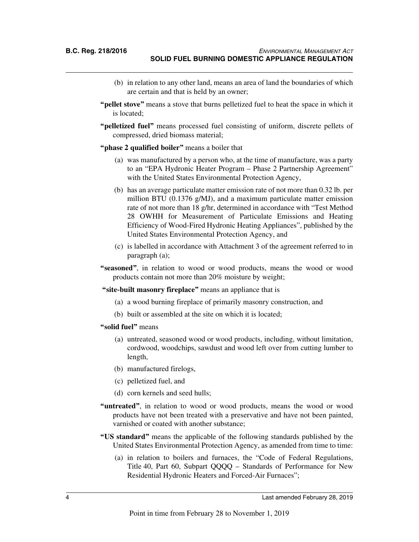- (b) in relation to any other land, means an area of land the boundaries of which are certain and that is held by an owner;
- **"pellet stove"** means a stove that burns pelletized fuel to heat the space in which it is located;
- **"pelletized fuel"** means processed fuel consisting of uniform, discrete pellets of compressed, dried biomass material;
- **"phase 2 qualified boiler"** means a boiler that
	- (a) was manufactured by a person who, at the time of manufacture, was a party to an "EPA Hydronic Heater Program – Phase 2 Partnership Agreement" with the United States Environmental Protection Agency,
	- (b) has an average particulate matter emission rate of not more than 0.32 lb. per million BTU (0.1376 g/MJ), and a maximum particulate matter emission rate of not more than 18 g/hr, determined in accordance with "Test Method 28 OWHH for Measurement of Particulate Emissions and Heating Efficiency of Wood-Fired Hydronic Heating Appliances", published by the United States Environmental Protection Agency, and
	- (c) is labelled in accordance with Attachment 3 of the agreement referred to in paragraph (a);
- **"seasoned"**, in relation to wood or wood products, means the wood or wood products contain not more than 20% moisture by weight;

**"site-built masonry fireplace"** means an appliance that is

- (a) a wood burning fireplace of primarily masonry construction, and
- (b) built or assembled at the site on which it is located;
- **"solid fuel"** means
	- (a) untreated, seasoned wood or wood products, including, without limitation, cordwood, woodchips, sawdust and wood left over from cutting lumber to length,
	- (b) manufactured firelogs,
	- (c) pelletized fuel, and
	- (d) corn kernels and seed hulls;
- "untreated", in relation to wood or wood products, means the wood or wood products have not been treated with a preservative and have not been painted, varnished or coated with another substance;
- **"US standard"** means the applicable of the following standards published by the United States Environmental Protection Agency, as amended from time to time:
	- (a) in relation to boilers and furnaces, the "Code of Federal Regulations, Title 40, Part 60, Subpart QQQQ – Standards of Performance for New Residential Hydronic Heaters and Forced-Air Furnaces";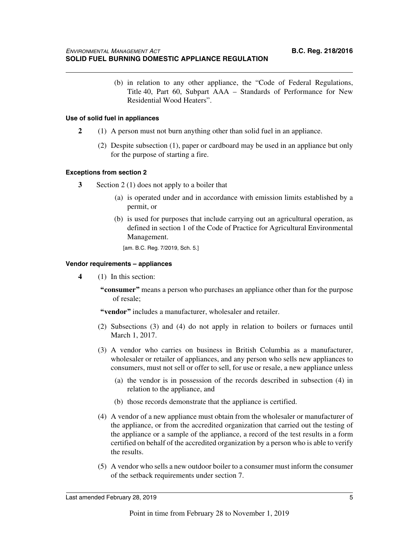(b) in relation to any other appliance, the "Code of Federal Regulations, Title 40, Part 60, Subpart AAA – Standards of Performance for New Residential Wood Heaters".

#### **Use of solid fuel in appliances**

- **2** (1) A person must not burn anything other than solid fuel in an appliance.
	- (2) Despite subsection (1), paper or cardboard may be used in an appliance but only for the purpose of starting a fire.

#### **Exceptions from section 2**

- **3** Section 2 (1) does not apply to a boiler that
	- (a) is operated under and in accordance with emission limits established by a permit, or
	- (b) is used for purposes that include carrying out an agricultural operation, as defined in section 1 of the Code of Practice for Agricultural Environmental Management.

[am. B.C. Reg. 7/2019, Sch. 5.]

#### **Vendor requirements – appliances**

- **4** (1) In this section:
	- **"consumer"** means a person who purchases an appliance other than for the purpose of resale;

**"vendor"** includes a manufacturer, wholesaler and retailer.

- (2) Subsections (3) and (4) do not apply in relation to boilers or furnaces until March 1, 2017.
- (3) A vendor who carries on business in British Columbia as a manufacturer, wholesaler or retailer of appliances, and any person who sells new appliances to consumers, must not sell or offer to sell, for use or resale, a new appliance unless
	- (a) the vendor is in possession of the records described in subsection (4) in relation to the appliance, and
	- (b) those records demonstrate that the appliance is certified.
- (4) A vendor of a new appliance must obtain from the wholesaler or manufacturer of the appliance, or from the accredited organization that carried out the testing of the appliance or a sample of the appliance, a record of the test results in a form certified on behalf of the accredited organization by a person who is able to verify the results.
- (5) A vendor who sells a new outdoor boiler to a consumer must inform the consumer of the setback requirements under section 7.

Last amended February 28, 2019 5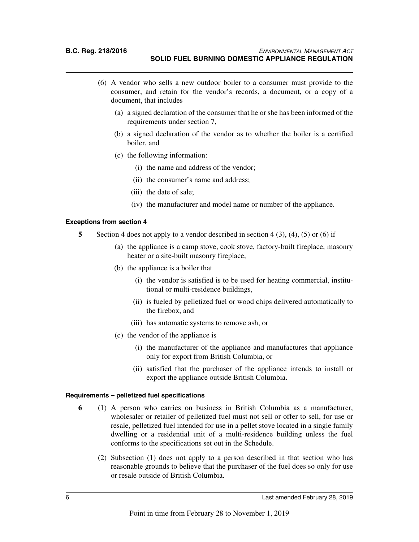- (6) A vendor who sells a new outdoor boiler to a consumer must provide to the consumer, and retain for the vendor's records, a document, or a copy of a document, that includes
	- (a) a signed declaration of the consumer that he or she has been informed of the requirements under section 7,
	- (b) a signed declaration of the vendor as to whether the boiler is a certified boiler, and
	- (c) the following information:
		- (i) the name and address of the vendor;
		- (ii) the consumer's name and address;
		- (iii) the date of sale;
		- (iv) the manufacturer and model name or number of the appliance.

#### **Exceptions from section 4**

- **5** Section 4 does not apply to a vendor described in section 4 (3), (4), (5) or (6) if
	- (a) the appliance is a camp stove, cook stove, factory-built fireplace, masonry heater or a site-built masonry fireplace,
	- (b) the appliance is a boiler that
		- (i) the vendor is satisfied is to be used for heating commercial, institutional or multi-residence buildings,
		- (ii) is fueled by pelletized fuel or wood chips delivered automatically to the firebox, and
		- (iii) has automatic systems to remove ash, or
	- (c) the vendor of the appliance is
		- (i) the manufacturer of the appliance and manufactures that appliance only for export from British Columbia, or
		- (ii) satisfied that the purchaser of the appliance intends to install or export the appliance outside British Columbia.

#### **Requirements – pelletized fuel specifications**

- **6** (1) A person who carries on business in British Columbia as a manufacturer, wholesaler or retailer of pelletized fuel must not sell or offer to sell, for use or resale, pelletized fuel intended for use in a pellet stove located in a single family dwelling or a residential unit of a multi-residence building unless the fuel conforms to the specifications set out in the Schedule.
	- (2) Subsection (1) does not apply to a person described in that section who has reasonable grounds to believe that the purchaser of the fuel does so only for use or resale outside of British Columbia.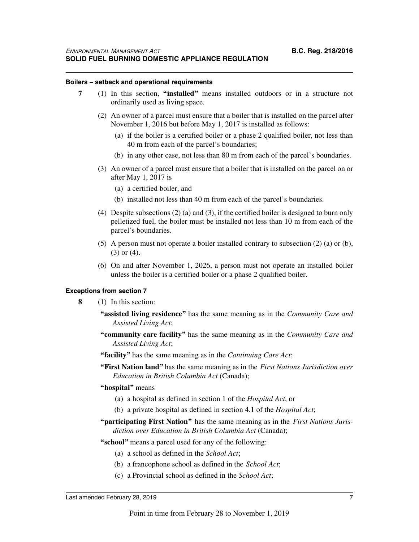#### **Boilers – setback and operational requirements**

- **7** (1) In this section, **"installed"** means installed outdoors or in a structure not ordinarily used as living space.
	- (2) An owner of a parcel must ensure that a boiler that is installed on the parcel after November 1, 2016 but before May 1, 2017 is installed as follows:
		- (a) if the boiler is a certified boiler or a phase 2 qualified boiler, not less than 40 m from each of the parcel's boundaries;
		- (b) in any other case, not less than 80 m from each of the parcel's boundaries.
	- (3) An owner of a parcel must ensure that a boiler that is installed on the parcel on or after May 1, 2017 is
		- (a) a certified boiler, and
		- (b) installed not less than 40 m from each of the parcel's boundaries.
	- (4) Despite subsections (2) (a) and (3), if the certified boiler is designed to burn only pelletized fuel, the boiler must be installed not less than 10 m from each of the parcel's boundaries.
	- (5) A person must not operate a boiler installed contrary to subsection (2) (a) or (b), (3) or (4).
	- (6) On and after November 1, 2026, a person must not operate an installed boiler unless the boiler is a certified boiler or a phase 2 qualified boiler.

#### **Exceptions from section 7**

- **8** (1) In this section:
	- **"assisted living residence"** has the same meaning as in the *Community Care and Assisted Living Act*;
	- **"community care facility"** has the same meaning as in the *Community Care and Assisted Living Act*;
	- **"facility"** has the same meaning as in the *Continuing Care Act*;
	- **"First Nation land"** has the same meaning as in the *First Nations Jurisdiction over Education in British Columbia Act* (Canada);

#### **"hospital"** means

- (a) a hospital as defined in section 1 of the *Hospital Act*, or
- (b) a private hospital as defined in section 4.1 of the *Hospital Act*;
- **"participating First Nation"** has the same meaning as in the *First Nations Jurisdiction over Education in British Columbia Act* (Canada);
- **"school"** means a parcel used for any of the following:
	- (a) a school as defined in the *School Act*;
	- (b) a francophone school as defined in the *School Act*;
	- (c) a Provincial school as defined in the *School Act*;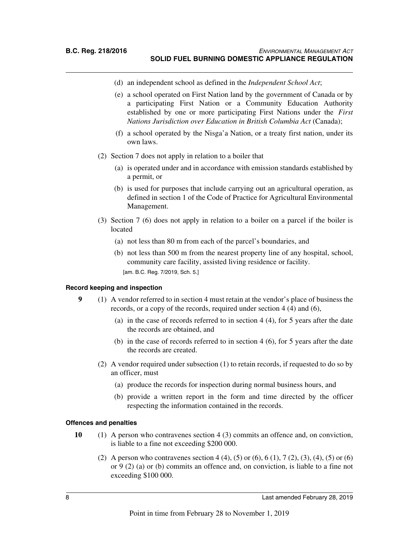- (d) an independent school as defined in the *Independent School Act*;
- (e) a school operated on First Nation land by the government of Canada or by a participating First Nation or a Community Education Authority established by one or more participating First Nations under the *First Nations Jurisdiction over Education in British Columbia Act* (Canada);
- (f) a school operated by the Nisga'a Nation, or a treaty first nation, under its own laws.
- (2) Section 7 does not apply in relation to a boiler that
	- (a) is operated under and in accordance with emission standards established by a permit, or
	- (b) is used for purposes that include carrying out an agricultural operation, as defined in section 1 of the Code of Practice for Agricultural Environmental Management.
- (3) Section 7 (6) does not apply in relation to a boiler on a parcel if the boiler is located
	- (a) not less than 80 m from each of the parcel's boundaries, and
	- (b) not less than 500 m from the nearest property line of any hospital, school, community care facility, assisted living residence or facility. [am. B.C. Reg. 7/2019, Sch. 5.]

#### **Record keeping and inspection**

- **9** (1) A vendor referred to in section 4 must retain at the vendor's place of business the records, or a copy of the records, required under section 4 (4) and (6),
	- (a) in the case of records referred to in section 4 (4), for 5 years after the date the records are obtained, and
	- (b) in the case of records referred to in section 4 (6), for 5 years after the date the records are created.
	- (2) A vendor required under subsection (1) to retain records, if requested to do so by an officer, must
		- (a) produce the records for inspection during normal business hours, and
		- (b) provide a written report in the form and time directed by the officer respecting the information contained in the records.

#### **Offences and penalties**

- **10** (1) A person who contravenes section 4 (3) commits an offence and, on conviction, is liable to a fine not exceeding \$200 000.
	- (2) A person who contravenes section 4 (4), (5) or (6), 6 (1), 7 (2), (3), (4), (5) or (6) or 9 (2) (a) or (b) commits an offence and, on conviction, is liable to a fine not exceeding \$100 000.